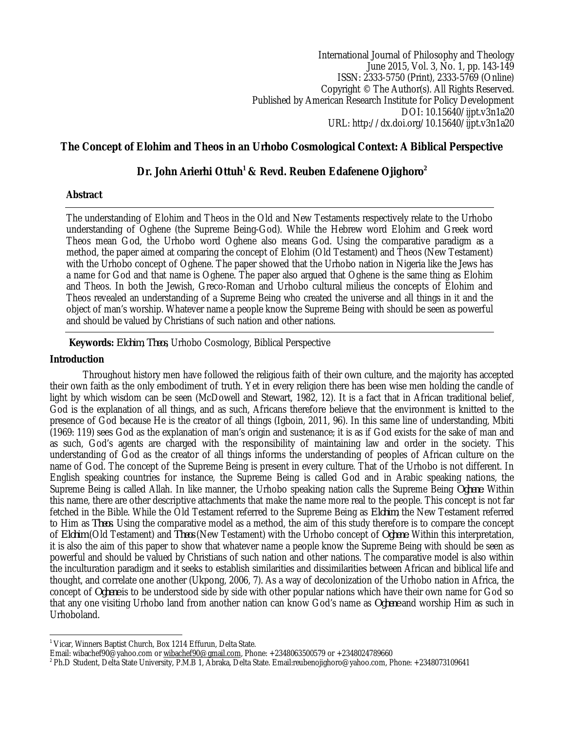International Journal of Philosophy and Theology June 2015, Vol. 3, No. 1, pp. 143-149 ISSN: 2333-5750 (Print), 2333-5769 (Online) Copyright © The Author(s). All Rights Reserved. Published by American Research Institute for Policy Development DOI: 10.15640/ijpt.v3n1a20 URL: http://dx.doi.org/10.15640/ijpt.v3n1a20

# **The Concept of Elohim and Theos in an Urhobo Cosmological Context: A Biblical Perspective**

# **Dr. John Arierhi Ottuh<sup>1</sup> & Revd. Reuben Edafenene Ojighoro<sup>2</sup>**

### **Abstract**

The understanding of Elohim and Theos in the Old and New Testaments respectively relate to the Urhobo understanding of Oghene (the Supreme Being-God). While the Hebrew word Elohim and Greek word Theos mean God, the Urhobo word Oghene also means God. Using the comparative paradigm as a method, the paper aimed at comparing the concept of Elohim (Old Testament) and Theos (New Testament) with the Urhobo concept of Oghene. The paper showed that the Urhobo nation in Nigeria like the Jews has a name for God and that name is Oghene. The paper also argued that Oghene is the same thing as Elohim and Theos. In both the Jewish, Greco-Roman and Urhobo cultural milieus the concepts of Elohim and Theos revealed an understanding of a Supreme Being who created the universe and all things in it and the object of man's worship. Whatever name a people know the Supreme Being with should be seen as powerful and should be valued by Christians of such nation and other nations.

### **Keywords:** *Elohim*, *Theos*, Urhobo Cosmology, Biblical Perspective

### **Introduction**

Throughout history men have followed the religious faith of their own culture, and the majority has accepted their own faith as the only embodiment of truth. Yet in every religion there has been wise men holding the candle of light by which wisdom can be seen (McDowell and Stewart, 1982, 12). It is a fact that in African traditional belief, God is the explanation of all things, and as such, Africans therefore believe that the environment is knitted to the presence of God because He is the creator of all things (Igboin, 2011, 96). In this same line of understanding, Mbiti (1969: 119) sees God as the explanation of man's origin and sustenance; it is as if God exists for the sake of man and as such, God's agents are charged with the responsibility of maintaining law and order in the society. This understanding of God as the creator of all things informs the understanding of peoples of African culture on the name of God. The concept of the Supreme Being is present in every culture. That of the Urhobo is not different. In English speaking countries for instance, the Supreme Being is called God and in Arabic speaking nations, the Supreme Being is called Allah. In like manner, the Urhobo speaking nation calls the Supreme Being *Oghene*. Within this name, there are other descriptive attachments that make the name more real to the people. This concept is not far fetched in the Bible. While the Old Testament referred to the Supreme Being as *Elohim*, the New Testament referred to Him as *Theos*. Using the comparative model as a method, the aim of this study therefore is to compare the concept of *Elohim* (Old Testament) and *Theos* (New Testament) with the Urhobo concept of *Oghene*. Within this interpretation, it is also the aim of this paper to show that whatever name a people know the Supreme Being with should be seen as powerful and should be valued by Christians of such nation and other nations. The comparative model is also within the inculturation paradigm and it seeks to establish similarities and dissimilarities between African and biblical life and thought, and correlate one another (Ukpong, 2006, 7). As a way of decolonization of the Urhobo nation in Africa, the concept of *Oghene* is to be understood side by side with other popular nations which have their own name for God so that any one visiting Urhobo land from another nation can know God's name as *Oghene* and worship Him as such in Urhoboland.

 $\overline{a}$ <sup>1</sup> Vicar, Winners Baptist Church, Box 1214 Effurun, Delta State.

Email: wibachef90@yahoo.com or wibachef90@gmail.com, Phone: +2348063500579 or +2348024789660

<sup>2</sup> Ph.D Student, Delta State University, P.M.B 1, Abraka, Delta State. Email:reubenojighoro@yahoo.com, Phone: +2348073109641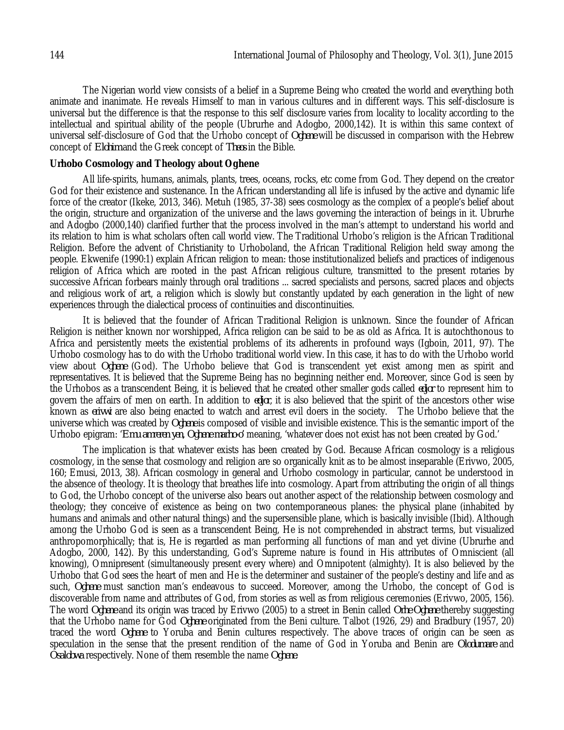The Nigerian world view consists of a belief in a Supreme Being who created the world and everything both animate and inanimate. He reveals Himself to man in various cultures and in different ways. This self-disclosure is universal but the difference is that the response to this self disclosure varies from locality to locality according to the intellectual and spiritual ability of the people (Ubrurhe and Adogbo, 2000,142). It is within this same context of universal self-disclosure of God that the Urhobo concept of *Oghene* will be discussed in comparison with the Hebrew concept of *Elohim* and the Greek concept of *Theos* in the Bible.

#### **Urhobo Cosmology and Theology about Oghene**

All life-spirits, humans, animals, plants, trees, oceans, rocks, etc come from God. They depend on the creator God for their existence and sustenance. In the African understanding all life is infused by the active and dynamic life force of the creator (Ikeke, 2013, 346). Metuh (1985, 37-38) sees cosmology as the complex of a people's belief about the origin, structure and organization of the universe and the laws governing the interaction of beings in it. Ubrurhe and Adogbo (2000,140) clarified further that the process involved in the man's attempt to understand his world and its relation to him is what scholars often call world view. The Traditional Urhobo's religion is the African Traditional Religion. Before the advent of Christianity to Urhoboland, the African Traditional Religion held sway among the people. Ekwenife (1990:1) explain African religion to mean: those institutionalized beliefs and practices of indigenous religion of Africa which are rooted in the past African religious culture, transmitted to the present rotaries by successive African forbears mainly through oral traditions ... sacred specialists and persons, sacred places and objects and religious work of art, a religion which is slowly but constantly updated by each generation in the light of new experiences through the dialectical process of continuities and discontinuities.

It is believed that the founder of African Traditional Religion is unknown. Since the founder of African Religion is neither known nor worshipped, Africa religion can be said to be as old as Africa. It is autochthonous to Africa and persistently meets the existential problems of its adherents in profound ways (Igboin, 2011, 97). The Urhobo cosmology has to do with the Urhobo traditional world view. In this case, it has to do with the Urhobo world view about *Oghene* (God). The Urhobo believe that God is transcendent yet exist among men as spirit and representatives. It is believed that the Supreme Being has no beginning neither end. Moreover, since God is seen by the Urhobos as a transcendent Being, it is believed that he created other smaller gods called *edjor* to represent him to govern the affairs of men on earth. In addition to *edjor*, it is also believed that the spirit of the ancestors other wise known as *erivwi* are also being enacted to watch and arrest evil doers in the society. The Urhobo believe that the universe which was created by *Oghene* is composed of visible and invisible existence. This is the semantic import of the Urhobo epigram: '*Emu amreren yen, Oghene marho-o'* meaning, 'whatever does not exist has not been created by God.'

The implication is that whatever exists has been created by God. Because African cosmology is a religious cosmology, in the sense that cosmology and religion are so organically knit as to be almost inseparable (Erivwo, 2005, 160; Emusi, 2013, 38). African cosmology in general and Urhobo cosmology in particular, cannot be understood in the absence of theology. It is theology that breathes life into cosmology. Apart from attributing the origin of all things to God, the Urhobo concept of the universe also bears out another aspect of the relationship between cosmology and theology; they conceive of existence as being on two contemporaneous planes: the physical plane (inhabited by humans and animals and other natural things) and the supersensible plane, which is basically invisible (Ibid). Although among the Urhobo God is seen as a transcendent Being, He is not comprehended in abstract terms, but visualized anthropomorphically; that is, He is regarded as man performing all functions of man and yet divine (Ubrurhe and Adogbo, 2000, 142). By this understanding, God's Supreme nature is found in His attributes of Omniscient (all knowing), Omnipresent (simultaneously present every where) and Omnipotent (almighty). It is also believed by the Urhobo that God sees the heart of men and He is the determiner and sustainer of the people's destiny and life and as such, *Oghene* must sanction man's endeavous to succeed. Moreover, among the Urhobo, the concept of God is discoverable from name and attributes of God, from stories as well as from religious ceremonies (Erivwo, 2005, 156). The word *Oghene* and its origin was traced by Erivwo (2005) to a street in Benin called *Orhe Oghene* thereby suggesting that the Urhobo name for God *Oghene* originated from the Beni culture. Talbot (1926, 29) and Bradbury (1957, 20) traced the word *Oghene* to Yoruba and Benin cultures respectively. The above traces of origin can be seen as speculation in the sense that the present rendition of the name of God in Yoruba and Benin are *Olodumare* and *Osalobwa* respectively. None of them resemble the name *Oghene*.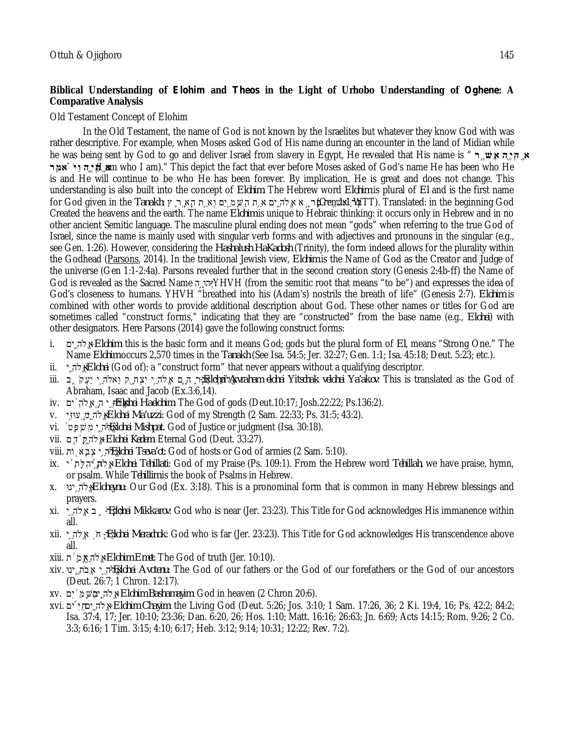## **Biblical Understanding of** *Elohim* **and** *Theos* **in the Light of Urhobo Understanding of** *Oghene***: A Comparative Analysis**

## Old Testament Concept of Elohim

In the Old Testament, the name of God is not known by the Israelites but whatever they know God with was rather descriptive. For example, when Moses asked God of His name during an encounter in the land of Midian while he was being sent by God to go and deliver Israel from slavery in Egypt, He revealed that His name is " **ר ֶ֣ שֲׁא הֶ֖יְהֽ ֶ א רֶאמ ֗ ֹ יַּו הֶ֑יְהֽ ֶ א**) I am who I am)." This depict the fact that ever before Moses asked of God's name He has been who He is and He will continue to be who He has been forever. By implication, He is great and does not change. This understanding is also built into the concept of *Elohim*. The Hebrew word *Elohim* is plural of *El* and is the first name for God given in the *Tanakh*: אֲלה ים אַ ת הַשֵּׁמ ַיִּם וְאַ הַעֵּה הָא הֵ לְּחוֹם (Gen al the in the *Tanakh*: הָ Created the heavens and the earth. The name *Elohim* is unique to Hebraic thinking: it occurs only in Hebrew and in no other ancient Semitic language. The masculine plural ending does not mean "gods" when referring to the true God of Israel, since the name is mainly used with singular verb forms and with adjectives and pronouns in the singular (e.g., see Gen. 1:26). However, considering the *Hashalush HaKadosh* (Trinity), the form indeed allows for the plurality within the Godhead (Parsons, 2014). In the traditional Jewish view, *Elohim* is the Name of God as the Creator and Judge of the universe (Gen 1:1-2:4a). Parsons revealed further that in the second creation story (Genesis 2:4b-ff) the Name of God is revealed as the Sacred Name <sub>ו</sub>ְהוֹהַ YHVH (from the semitic root that means "to be") and expresses the idea of God's closeness to humans. YHVH "breathed into his (Adam's) nostrils the breath of life" (Genesis 2:7). *Elohim* is combined with other words to provide additional description about God. These other names or titles for God are sometimes called "construct forms," indicating that they are "constructed" from the base name (e.g., *Elohei*) with other designators. Here Parsons (2014) gave the following construct forms:

- i. ים ִ֑ ה˄ֱא-*Elohim*: this is the basic form and it means God; gods but the plural form of *El*, means "Strong One." The Name *Elohim* occurs 2,570 times in the *Tanakh* (See Isa. 54:5; Jer. 32:27; Gen. 1:1; Isa. 45:18; Deut. 5:23; etc.).
- ii. *י Elohei* (God of): a "construct form" that never appears without a qualifying descriptor.
- of God the as translated is This :*akov'Ya velohei Yitschak elohei Avraham Elohei* אֱ˄ה ֵ֧י אַבְר ָ ה ָ ֛ם אֱ˄ה ֵ ֥י יִצְח ָ֖ ק וֵא˄ה ֵ֣י יַעֲק ֹ ֑ ב .iii Abraham, Isaac and Jacob (Ex.3:6,14).
- iv. ים ֔ ִה˄ֱאֽ ָ ה יֵ֣ ה˄ֱא *-Elohei Haelohim*: The God of gods (Deut.10:17; Josh.22:22; Ps.136:2).
- v. יֽ ִעוּזּֽ ָ ימִ֑ ה˄ֱא-*Elohei Ma'uzzi*: God of my Strength (2 Sam. 22:33; Ps. 31:5; 43:2).
- vi. ֙טָפְּשִׁמ י ִ֑ ה˄ֱא -*Elohei Mishpat*. God of Justice or judgment (Isa. 30:18).
- vii. םֶד ֔ ֶיקִ֑ ה˄ֱא-*Elohei Kedem*: Eternal God (Deut. 33:27).
- viii. וֹת ֖ אָבְצ י֥ ֵ ה˄ֱא -*Elohei Tseva'ot*: God of hosts or God of armies (2 Sam. 5:10).
- ix. י ֗ ִתָלִּה ֜ ְית֥ ֵ ה˄ֱא-*Elohei Tehillati*: God of my Praise (Ps. 109:1). From the Hebrew word *Tehillah*, we have praise, hymn, or psalm. While *Tehillim* is the book of Psalms in Hebrew.
- x. *יהֵ* ינוּ $E$ אֵלּה יֵ ינוּ $E$ *loheynu*: Our God (Ex. 3:18). This is a pronominal form that is common in many Hebrew blessings and prayers.
- xi. י֥ ֵ ה˄ֱא ב ֛ ֹ רָקִּמ -*Elohei Mikkarov*: God who is near (Jer. 23:23). This Title for God acknowledges His immanence within all.
- xii. י֥ ֵ ה˄ֱא ֽ ֹ ח ָ רֵמ -*Elohei Merachok*: God who is far (Jer. 23:23). This Title for God acknowledges His transcendence above all.
- xiii. ת ֔ ֶמֱיא֥ ֵ ה˄ֱא-*Elohim Emet*: The God of truth (Jer. 10:10).
- xiv. ינוּ ֵ֑ תֹ בֲא י֥ ֵ ה˄ֱא -*Elohei Avotenu*: The God of our fathers or the God of our forefathers or the God of our ancestors (Deut. 26:7; 1 Chron. 12:17).
- .(20:6 Chron 2 (heaven in God :*Bashamayim Elohim*-אֱ˄ה ִ֑ יםבַּשָּׁמַ ֔ יִם .xv
- xvi. ים ֜ ִיַּיםח ִ֑ ה˄ֱא-*Elohim Chayim*: the Living God (Deut. 5:26; Jos. 3:10; 1 Sam. 17:26, 36; 2 Ki. 19:4, 16; Ps. 42:2; 84:2; Isa. 37:4, 17; Jer. 10:10; 23:36; Dan. 6:20, 26; Hos. 1:10; Matt. 16:16; 26:63; Jn. 6:69; Acts 14:15; Rom. 9:26; 2 Co. 3:3; 6:16; 1 Tim. 3:15; 4:10; 6:17; Heb. 3:12; 9:14; 10:31; 12:22; Rev. 7:2).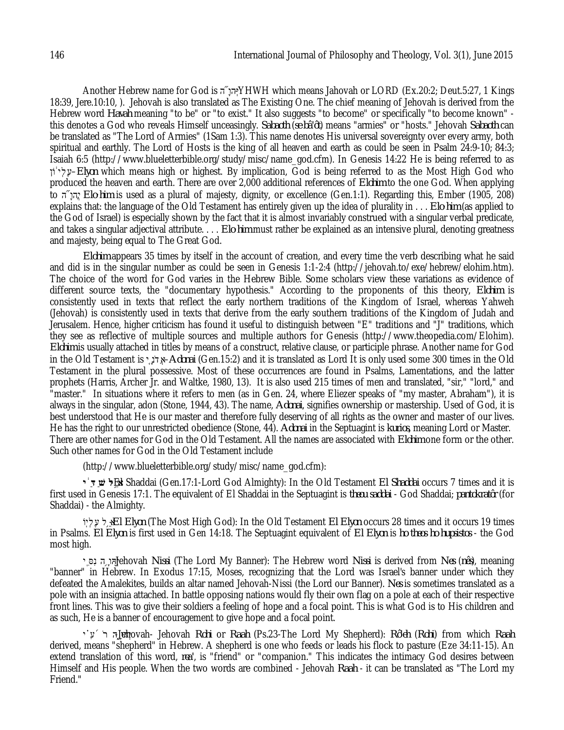Another Hebrew name for God is יְהוּ אֵץ YHWH which means Jahovah or LORD (Ex.20:2; Deut.5:27, 1 Kings 18:39, Jere.10:10, ). Jehovah is also translated as The Existing One. The chief meaning of Jehovah is derived from the Hebrew word *Havah* meaning "to be" or "to exist." It also suggests "to become" or specifically "to become known" this denotes a God who reveals Himself unceasingly. *Sabaoth* (*se bâ'ôt*) means "armies" or "hosts." Jehovah *Sabaoth* can be translated as "The Lord of Armies" (1Sam 1:3). This name denotes His universal sovereignty over every army, both spiritual and earthly. The Lord of Hosts is the king of all heaven and earth as could be seen in Psalm 24:9-10; 84:3; Isaiah 6:5 (http://www.blueletterbible.org/study/misc/name\_god.cfm). In Genesis 14:22 He is being referred to as וֹן ֔ יְלֶע–*Elyon* which means high or highest. By implication, God is being referred to as the Most High God who produced the heaven and earth. There are over 2,000 additional references of *Elohim* to the one God. When applying to  $\pi$ <sub>1</sub>, *Elo·him* is used as a plural of majesty, dignity, or excellence (Gen.1:1). Regarding this, Ember (1905, 208) explains that: the language of the Old Testament has entirely given up the idea of plurality in . . . *Elo·him* (as applied to the God of Israel) is especially shown by the fact that it is almost invariably construed with a singular verbal predicate, and takes a singular adjectival attribute. . . . *Elo·him* must rather be explained as an intensive plural, denoting greatness and majesty, being equal to The Great God.

*Elohim* appears 35 times by itself in the account of creation, and every time the verb describing what he said and did is in the singular number as could be seen in Genesis 1:1-2:4 (http://jehovah.to/exe/hebrew/elohim.htm). The choice of the word for God varies in the Hebrew Bible. Some scholars view these variations as evidence of different source texts, the "documentary hypothesis." According to the proponents of this theory, *Elohim* is consistently used in texts that reflect the early northern traditions of the Kingdom of Israel, whereas Yahweh (Jehovah) is consistently used in texts that derive from the early southern traditions of the Kingdom of Judah and Jerusalem. Hence, higher criticism has found it useful to distinguish between "E" traditions and "J" traditions, which they see as reflective of multiple sources and multiple authors for Genesis (http://www.theopedia.com/Elohim). *Elohim* is usually attached in titles by means of a construct, relative clause, or participle phrase. Another name for God in the Old Testament is יָ֤ נֹ דֲא–*Adonai* (Gen.15:2) and it is translated as Lord It is only used some 300 times in the Old Testament in the plural possessive. Most of these occurrences are found in Psalms, Lamentations, and the latter prophets (Harris, Archer Jr. and Waltke, 1980, 13). It is also used 215 times of men and translated, "sir," "lord," and "master." In situations where it refers to men (as in Gen. 24, where Eliezer speaks of "my master, Abraham"), it is always in the singular, adon (Stone, 1944, 43). The name, *Adonai*, signifies ownership or mastership. Used of God, it is best understood that He is our master and therefore fully deserving of all rights as the owner and master of our lives. He has the right to our unrestricted obedience (Stone, 44). *Adonai* in the Septuagint is *kurios,* meaning Lord or Master. There are other names for God in the Old Testament. All the names are associated with *Elohim* one form or the other. Such other names for God in the Old Testament include

(http://www.blueletterbible.org/study/misc/name\_god.cfm):

**י ֔ ַדּ ַ שׁ ל ֵ֣ א** -El Shaddai (Gen.17:1-Lord God Almighty): In the Old Testament *El Shaddai* occurs 7 times and it is first used in Genesis 17:1. The equivalent of El Shaddai in the Septuagint is *theou saddai* - God Shaddai; *pantokratôr* (for Shaddai) - the Almighty.

וֹֽיְלֶע ל֥ ֵ א-*El Elyon* (The Most High God): In the Old Testament *El Elyon* occurs 28 times and it occurs 19 times in Psalms. *El Elyon* is first used in Gen 14:18. The Septuagint equivalent of *El Elyon* is *ho theos ho hupsistos* - the God most high.

יֽ ִ סִּנ ה֥ ָ הוְי-Jehovah *Nissi* (The Lord My Banner): The Hebrew word *Nissi* is derived from *Nes* (*nês*), meaning "banner" in Hebrew. In Exodus 17:15, Moses, recognizing that the Lord was Israel's banner under which they defeated the Amalekites, builds an altar named Jehovah-Nissi (the Lord our Banner). *Nes* is sometimes translated as a pole with an insignia attached. In battle opposing nations would fly their own flag on a pole at each of their respective front lines. This was to give their soldiers a feeling of hope and a focal point. This is what God is to His children and as such, He is a banner of encouragement to give hope and a focal point.

י ֗ ִע ֜ ֹ ר ה֥ ָ הוְי -Jehovah- Jehovah *Rohi* or *Raah* (Ps.23-The Lord My Shepherd): *Rô'eh* (*Rohi*) from which *Raah* derived, means "shepherd" in Hebrew. A shepherd is one who feeds or leads his flock to pasture (Eze 34:11-15). An extend translation of this word, *rea'*, is "friend" or "companion." This indicates the intimacy God desires between Himself and His people. When the two words are combined - Jehovah *Raah* - it can be translated as "The Lord my Friend."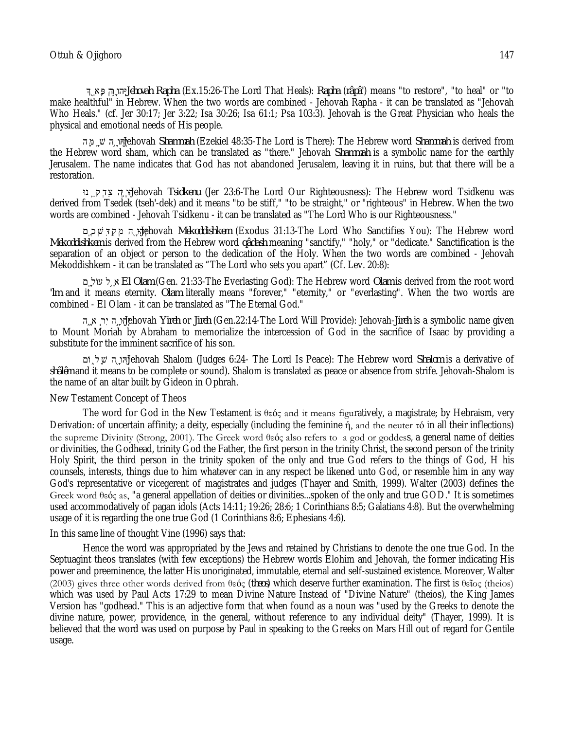˂ֵ֖ אָפּ ְ הר֥ ָ הוְי-*Jehovah Rapha* (Ex.15:26-The Lord That Heals): *Rapha* (*râpâ'*) means "to restore", "to heal" or "to make healthful" in Hebrew. When the two words are combined - Jehovah Rapha - it can be translated as "Jehovah Who Heals." (cf. Jer 30:17; Jer 3:22; Isa 30:26; Isa 61:1; Psa 103:3). Jehovah is the Great Physician who heals the physical and emotional needs of His people.

הֵהָּ שׁ הַמֵּה, הֹשׁ הַמֵּה, הֹא -J<sub>i</sub>nehovah *Shammah* (Ezekiel 48:35-The Lord is There): The Hebrew word *Shammah* is derived from the Hebrew word sham, which can be translated as "there." Jehovah *Shammah* is a symbolic name for the earthly Jerusalem. The name indicates that God has not abandoned Jerusalem, leaving it in ruins, but that there will be a restoration.

נוּֽ ֵ קְדִצ ה֥ ָ הו ְי -Jehovah *Tsidkenu* (Jer 23:6-The Lord Our Righteousness): The Hebrew word Tsidkenu was derived from Tsedek (tseh'-dek) and it means "to be stiff," "to be straight," or "righteous" in Hebrew. When the two words are combined - Jehovah Tsidkenu - it can be translated as "The Lord Who is our Righteousness."

םֽ ֶ כְשִׁדַּקְמ הָ֖ הוְי -Jehovah *Mekoddishkem* (Exodus 31:13-The Lord Who Sanctifies You): The Hebrew word *Mekoddishkem* is derived from the Hebrew word *qâdash* meaning "sanctify," "holy," or "dedicate." Sanctification is the separation of an object or person to the dedication of the Holy. When the two words are combined - Jehovah Mekoddishkem - it can be translated as "The Lord who sets you apart" (Cf. Lev. 20:8):

םֽ ָ עוֹל ל֥ ֵ א- *El Olam* (Gen. 21:33-The Everlasting God): The Hebrew word *Olam* is derived from the root word *'lm* and it means eternity. *Olam* literally means "forever," "eternity," or "everlasting". When the two words are combined - El Olam - it can be translated as "The Eternal God."

הֶ֑ א ְ רִי הָ֣ הוְי -Jehovah *Yireh* or *Jireh* (Gen.22:14-The Lord Will Provide): Jehovah-*Jireh* is a symbolic name given to Mount Moriah by Abraham to memorialize the intercession of God in the sacrifice of Isaac by providing a substitute for the imminent sacrifice of his son.

וֹם ֑ לָשׁ הָ֖ הוְי-Jehovah Shalom (Judges 6:24- The Lord Is Peace): The Hebrew word *Shalom* is a derivative of *shâlêm* and it means to be complete or sound). Shalom is translated as peace or absence from strife. Jehovah-Shalom is the name of an altar built by Gideon in Ophrah.

#### New Testament Concept of Theos

The word for God in the New Testament is θεός and it means figuratively, a magistrate; by Hebraism, very Derivation: of uncertain affinity; a deity, especially (including the feminine ή, and the neuter τό in all their inflections) the supreme Divinity (Strong, 2001). The Greek word θεός also refers to a god or goddess, a general name of deities or divinities, the Godhead, trinity God the Father, the first person in the trinity Christ, the second person of the trinity Holy Spirit, the third person in the trinity spoken of the only and true God refers to the things of God, H his counsels, interests, things due to him whatever can in any respect be likened unto God, or resemble him in any way God's representative or vicegerent of magistrates and judges (Thayer and Smith, 1999). Walter (2003) defines the Greek word θεός as, "a general appellation of deities or divinities...spoken of the only and true GOD." It is sometimes used accommodatively of pagan idols (Acts 14:11; 19:26; 28:6; 1 Corinthians 8:5; Galatians 4:8). But the overwhelming usage of it is regarding the one true God (1 Corinthians 8:6; Ephesians 4:6).

#### In this same line of thought Vine (1996) says that:

Hence the word was appropriated by the Jews and retained by Christians to denote the one true God. In the Septuagint theos translates (with few exceptions) the Hebrew words Elohim and Jehovah, the former indicating His power and preeminence, the latter His unoriginated, immutable, eternal and self-sustained existence. Moreover, Walter (2003) gives three other words derived from θεός (*theos*) which deserve further examination. The first is θεῖος (theios) which was used by Paul Acts 17:29 to mean Divine Nature Instead of "Divine Nature" (theios), the King James Version has "godhead." This is an adjective form that when found as a noun was "used by the Greeks to denote the divine nature, power, providence, in the general, without reference to any individual deity" (Thayer, 1999). It is believed that the word was used on purpose by Paul in speaking to the Greeks on Mars Hill out of regard for Gentile usage.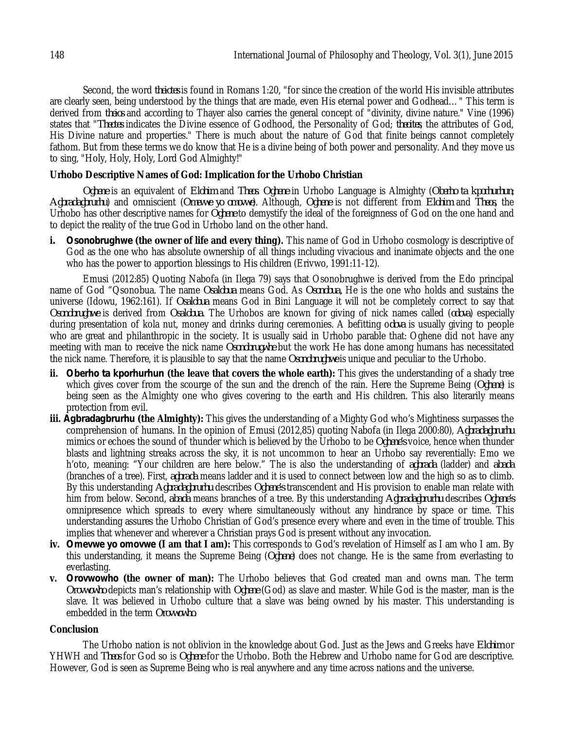Second, the word *theiotes* is found in Romans 1:20, "for since the creation of the world His invisible attributes are clearly seen, being understood by the things that are made, even His eternal power and Godhead…" This term is derived from *theios* and according to Thayer also carries the general concept of "divinity, divine nature." Vine (1996) states that "*Theotes* indicates the Divine essence of Godhood, the Personality of God; *theoites*, the attributes of God, His Divine nature and properties." There is much about the nature of God that finite beings cannot completely fathom. But from these terms we do know that He is a divine being of both power and personality. And they move us to sing, "Holy, Holy, Holy, Lord God Almighty!"

## **Urhobo Descriptive Names of God: Implication for the Urhobo Christian**

*Oghene* is an equivalent of *Elohim* and *Theos*. *Oghene* in Urhobo Language is Almighty (*Oberho ta kporhurhun*; *Agbradagbrurhu*) and omniscient (*Omevwe yo omovwe*). Although, *Oghene* is not different from *Elohim* and *Theos,* the Urhobo has other descriptive names for *Oghene* to demystify the ideal of the foreignness of God on the one hand and to depict the reality of the true God in Urhobo land on the other hand.

**i***. Osonobrughwe* **(the owner of life and every thing).** This name of God in Urhobo cosmology is descriptive of God as the one who has absolute ownership of all things including vivacious and inanimate objects and the one who has the power to apportion blessings to His children (Erivwo, 1991:11-12).

Emusi (2012:85) Quoting Nabofa (in Ilega 79) says that Osonobrughwe is derived from the Edo principal name of God "Qsonobua. The name *Osalobua* means God. As *Osonobua,* He is the one who holds and sustains the universe (Idowu, 1962:161). If *Osalobua* means God in Bini Language it will not be completely correct to say that *Osonobrughwe* is derived from *Osalobua*. The Urhobos are known for giving of nick names called (*odova*) especially during presentation of kola nut, money and drinks during ceremonies. A befitting o*dova* is usually giving to people who are great and philanthropic in the society. It is usually said in Urhobo parable that: Oghene did not have any meeting with man to receive the nick name *Osonobrugwhe* but the work He has done among humans has necessitated the nick name. Therefore, it is plausible to say that the name *Osonobrughwe* is unique and peculiar to the Urhobo.

- **ii.** *Oberho ta kporhurhun* **(the leave that covers the whole earth):** This gives the understanding of a shady tree which gives cover from the scourge of the sun and the drench of the rain. Here the Supreme Being (*Oghene*) is being seen as the Almighty one who gives covering to the earth and His children. This also literarily means protection from evil.
- **iii.** *Agbradagbrurhu* **(the Almighty):** This gives the understanding of a Mighty God who's Mightiness surpasses the comprehension of humans. In the opinion of Emusi (2012,85) quoting Nabofa (in Ilega 2000:80), *Agbradagbrurhu* mimics or echoes the sound of thunder which is believed by the Urhobo to be *Oghene's* voice, hence when thunder blasts and lightning streaks across the sky, it is not uncommon to hear an Urhobo say reverentially: Emo we h'oto, meaning: "Your children are here below." The is also the understanding of *agbrada* (ladder) and *abada* (branches of a tree). First, *agbrada* means ladder and it is used to connect between low and the high so as to climb. By this understanding *Agbradagbrurhu* describes *Oghene's* transcendent and His provision to enable man relate with him from below. Second, *abada* means branches of a tree. By this understanding *Agbradagbrurhu* describes *Oghene's* omnipresence which spreads to every where simultaneously without any hindrance by space or time. This understanding assures the Urhobo Christian of God's presence every where and even in the time of trouble. This implies that whenever and wherever a Christian prays God is present without any invocation.
- **iv.** *Omevwe yo omovwe* **(I am that I am):** This corresponds to God's revelation of Himself as I am who I am. By this understanding, it means the Supreme Being (*Oghene*) does not change. He is the same from everlasting to everlasting.
- **v.** *Orovwowho* **(the owner of man):** The Urhobo believes that God created man and owns man. The term *Orovwowho* depicts man's relationship with *Oghene* (God) as slave and master. While God is the master, man is the slave. It was believed in Urhobo culture that a slave was being owned by his master. This understanding is embedded in the term *Orovwowho*.

### **Conclusion**

The Urhobo nation is not oblivion in the knowledge about God. Just as the Jews and Greeks have *Elohim* or YHWH and *Theos* for God so is *Oghene* for the Urhobo. Both the Hebrew and Urhobo name for God are descriptive. However, God is seen as Supreme Being who is real anywhere and any time across nations and the universe.